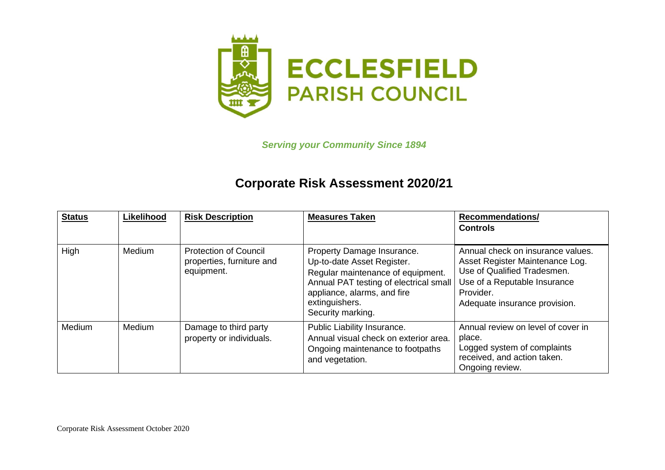

*Serving your Community Since 1894*

## **Corporate Risk Assessment 2020/21**

| <b>Status</b> | Likelihood | <b>Risk Description</b>                                                 | <b>Measures Taken</b>                                                                                                                                                                                         | <b>Recommendations/</b><br><b>Controls</b>                                                                                                                                        |
|---------------|------------|-------------------------------------------------------------------------|---------------------------------------------------------------------------------------------------------------------------------------------------------------------------------------------------------------|-----------------------------------------------------------------------------------------------------------------------------------------------------------------------------------|
| High          | Medium     | <b>Protection of Council</b><br>properties, furniture and<br>equipment. | Property Damage Insurance.<br>Up-to-date Asset Register.<br>Regular maintenance of equipment.<br>Annual PAT testing of electrical small<br>appliance, alarms, and fire<br>extinguishers.<br>Security marking. | Annual check on insurance values.<br>Asset Register Maintenance Log.<br>Use of Qualified Tradesmen.<br>Use of a Reputable Insurance<br>Provider.<br>Adequate insurance provision. |
| Medium        | Medium     | Damage to third party<br>property or individuals.                       | Public Liability Insurance.<br>Annual visual check on exterior area.<br>Ongoing maintenance to footpaths<br>and vegetation.                                                                                   | Annual review on level of cover in<br>place.<br>Logged system of complaints<br>received, and action taken.<br>Ongoing review.                                                     |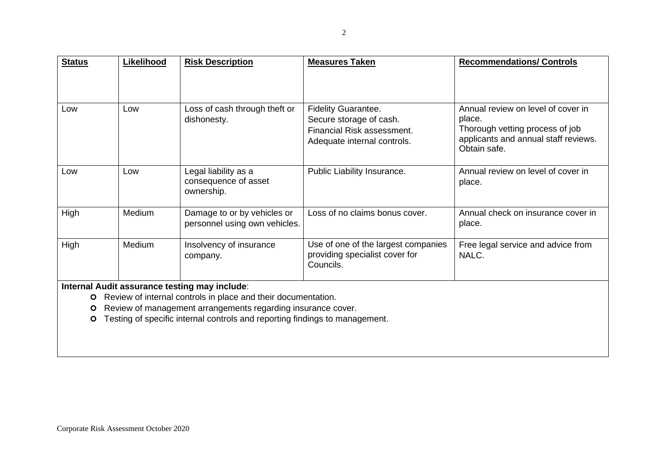| <b>Status</b>     | Likelihood | <b>Risk Description</b>                                                                                                                                                                                                                                       | <b>Measures Taken</b>                                                                                              | <b>Recommendations/ Controls</b>                                                                                                        |
|-------------------|------------|---------------------------------------------------------------------------------------------------------------------------------------------------------------------------------------------------------------------------------------------------------------|--------------------------------------------------------------------------------------------------------------------|-----------------------------------------------------------------------------------------------------------------------------------------|
|                   |            |                                                                                                                                                                                                                                                               |                                                                                                                    |                                                                                                                                         |
| Low               | Low        | Loss of cash through theft or<br>dishonesty.                                                                                                                                                                                                                  | <b>Fidelity Guarantee.</b><br>Secure storage of cash.<br>Financial Risk assessment.<br>Adequate internal controls. | Annual review on level of cover in<br>place.<br>Thorough vetting process of job<br>applicants and annual staff reviews.<br>Obtain safe. |
| Low               | Low        | Legal liability as a<br>consequence of asset<br>ownership.                                                                                                                                                                                                    | Public Liability Insurance.                                                                                        | Annual review on level of cover in<br>place.                                                                                            |
| High              | Medium     | Damage to or by vehicles or<br>personnel using own vehicles.                                                                                                                                                                                                  | Loss of no claims bonus cover.                                                                                     | Annual check on insurance cover in<br>place.                                                                                            |
| High              | Medium     | Insolvency of insurance<br>company.                                                                                                                                                                                                                           | Use of one of the largest companies<br>providing specialist cover for<br>Councils.                                 | Free legal service and advice from<br>NALC.                                                                                             |
| $\circ$<br>O<br>O |            | Internal Audit assurance testing may include:<br>Review of internal controls in place and their documentation.<br>Review of management arrangements regarding insurance cover.<br>Testing of specific internal controls and reporting findings to management. |                                                                                                                    |                                                                                                                                         |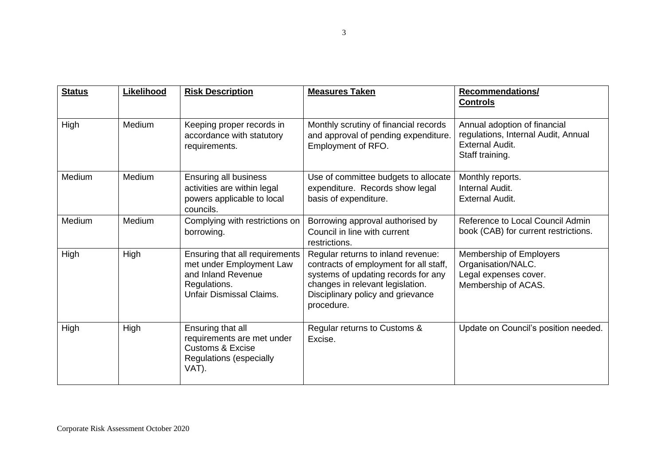| <b>Status</b> | Likelihood | <b>Risk Description</b>                                                                                                             | <b>Measures Taken</b>                                                                                                                                                                                      | <b>Recommendations/</b><br><b>Controls</b>                                                                       |
|---------------|------------|-------------------------------------------------------------------------------------------------------------------------------------|------------------------------------------------------------------------------------------------------------------------------------------------------------------------------------------------------------|------------------------------------------------------------------------------------------------------------------|
| High          | Medium     | Keeping proper records in<br>accordance with statutory<br>requirements.                                                             | Monthly scrutiny of financial records<br>and approval of pending expenditure.<br>Employment of RFO.                                                                                                        | Annual adoption of financial<br>regulations, Internal Audit, Annual<br><b>External Audit.</b><br>Staff training. |
| Medium        | Medium     | <b>Ensuring all business</b><br>activities are within legal<br>powers applicable to local<br>councils.                              | Use of committee budgets to allocate<br>expenditure. Records show legal<br>basis of expenditure.                                                                                                           | Monthly reports.<br>Internal Audit.<br><b>External Audit.</b>                                                    |
| Medium        | Medium     | Complying with restrictions on<br>borrowing.                                                                                        | Borrowing approval authorised by<br>Council in line with current<br>restrictions.                                                                                                                          | Reference to Local Council Admin<br>book (CAB) for current restrictions.                                         |
| High          | High       | Ensuring that all requirements<br>met under Employment Law<br>and Inland Revenue<br>Regulations.<br><b>Unfair Dismissal Claims.</b> | Regular returns to inland revenue:<br>contracts of employment for all staff,<br>systems of updating records for any<br>changes in relevant legislation.<br>Disciplinary policy and grievance<br>procedure. | Membership of Employers<br>Organisation/NALC.<br>Legal expenses cover.<br>Membership of ACAS.                    |
| High          | High       | Ensuring that all<br>requirements are met under<br><b>Customs &amp; Excise</b><br><b>Regulations (especially</b><br>VAT).           | Regular returns to Customs &<br>Excise.                                                                                                                                                                    | Update on Council's position needed.                                                                             |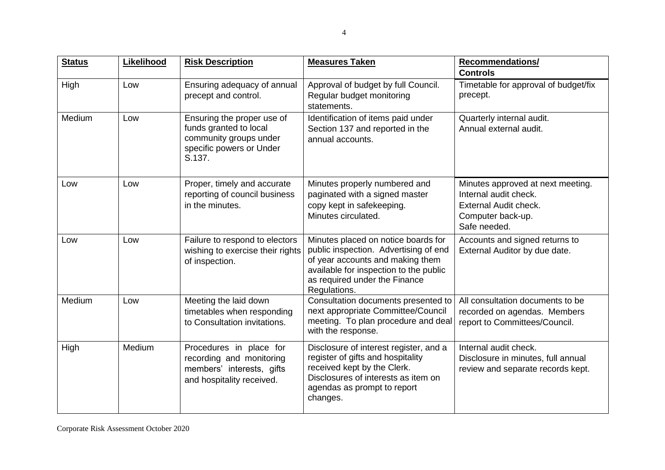| <b>Status</b> | Likelihood | <b>Risk Description</b>                                                                                              | <b>Measures Taken</b>                                                                                                                                                                                       | <b>Recommendations/</b><br><b>Controls</b>                                                                               |
|---------------|------------|----------------------------------------------------------------------------------------------------------------------|-------------------------------------------------------------------------------------------------------------------------------------------------------------------------------------------------------------|--------------------------------------------------------------------------------------------------------------------------|
| High          | Low        | Ensuring adequacy of annual<br>precept and control.                                                                  | Approval of budget by full Council.<br>Regular budget monitoring<br>statements.                                                                                                                             | Timetable for approval of budget/fix<br>precept.                                                                         |
| Medium        | Low        | Ensuring the proper use of<br>funds granted to local<br>community groups under<br>specific powers or Under<br>S.137. | Identification of items paid under<br>Section 137 and reported in the<br>annual accounts.                                                                                                                   | Quarterly internal audit.<br>Annual external audit.                                                                      |
| Low           | Low        | Proper, timely and accurate<br>reporting of council business<br>in the minutes.                                      | Minutes properly numbered and<br>paginated with a signed master<br>copy kept in safekeeping.<br>Minutes circulated.                                                                                         | Minutes approved at next meeting.<br>Internal audit check.<br>External Audit check.<br>Computer back-up.<br>Safe needed. |
| Low           | Low        | Failure to respond to electors<br>wishing to exercise their rights<br>of inspection.                                 | Minutes placed on notice boards for<br>public inspection. Advertising of end<br>of year accounts and making them<br>available for inspection to the public<br>as required under the Finance<br>Regulations. | Accounts and signed returns to<br>External Auditor by due date.                                                          |
| Medium        | Low        | Meeting the laid down<br>timetables when responding<br>to Consultation invitations.                                  | Consultation documents presented to<br>next appropriate Committee/Council<br>meeting. To plan procedure and deal<br>with the response.                                                                      | All consultation documents to be<br>recorded on agendas. Members<br>report to Committees/Council.                        |
| High          | Medium     | Procedures in place for<br>recording and monitoring<br>members' interests, gifts<br>and hospitality received.        | Disclosure of interest register, and a<br>register of gifts and hospitality<br>received kept by the Clerk.<br>Disclosures of interests as item on<br>agendas as prompt to report<br>changes.                | Internal audit check.<br>Disclosure in minutes, full annual<br>review and separate records kept.                         |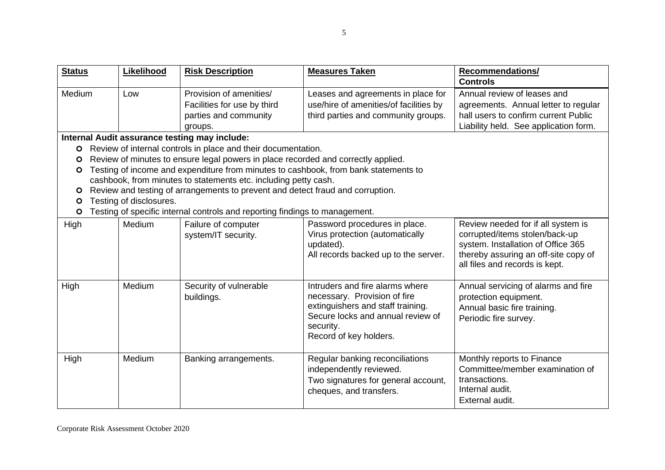| <b>Status</b> | <b>Likelihood</b>       | <b>Risk Description</b>                                                                    | <b>Measures Taken</b>                                                                                                                                                            | <b>Recommendations/</b><br><b>Controls</b>                                                                                                                                           |
|---------------|-------------------------|--------------------------------------------------------------------------------------------|----------------------------------------------------------------------------------------------------------------------------------------------------------------------------------|--------------------------------------------------------------------------------------------------------------------------------------------------------------------------------------|
| Medium        | Low                     | Provision of amenities/<br>Facilities for use by third<br>parties and community<br>groups. | Leases and agreements in place for<br>use/hire of amenities/of facilities by<br>third parties and community groups.                                                              | Annual review of leases and<br>agreements. Annual letter to regular<br>hall users to confirm current Public<br>Liability held. See application form.                                 |
|               |                         | Internal Audit assurance testing may include:                                              |                                                                                                                                                                                  |                                                                                                                                                                                      |
| $\circ$       |                         | Review of internal controls in place and their documentation.                              |                                                                                                                                                                                  |                                                                                                                                                                                      |
| O             |                         | Review of minutes to ensure legal powers in place recorded and correctly applied.          |                                                                                                                                                                                  |                                                                                                                                                                                      |
| $\circ$       |                         | Testing of income and expenditure from minutes to cashbook, from bank statements to        |                                                                                                                                                                                  |                                                                                                                                                                                      |
|               |                         | cashbook, from minutes to statements etc. including petty cash.                            |                                                                                                                                                                                  |                                                                                                                                                                                      |
| O             | Testing of disclosures. | Review and testing of arrangements to prevent and detect fraud and corruption.             |                                                                                                                                                                                  |                                                                                                                                                                                      |
| O<br>$\circ$  |                         | Testing of specific internal controls and reporting findings to management.                |                                                                                                                                                                                  |                                                                                                                                                                                      |
| High          | Medium                  | Failure of computer<br>system/IT security.                                                 | Password procedures in place.<br>Virus protection (automatically<br>updated).<br>All records backed up to the server.                                                            | Review needed for if all system is<br>corrupted/items stolen/back-up<br>system. Installation of Office 365<br>thereby assuring an off-site copy of<br>all files and records is kept. |
| High          | Medium                  | Security of vulnerable<br>buildings.                                                       | Intruders and fire alarms where<br>necessary. Provision of fire<br>extinguishers and staff training.<br>Secure locks and annual review of<br>security.<br>Record of key holders. | Annual servicing of alarms and fire<br>protection equipment.<br>Annual basic fire training.<br>Periodic fire survey.                                                                 |
| High          | Medium                  | Banking arrangements.                                                                      | Regular banking reconciliations<br>independently reviewed.<br>Two signatures for general account,<br>cheques, and transfers.                                                     | Monthly reports to Finance<br>Committee/member examination of<br>transactions.<br>Internal audit.<br>External audit.                                                                 |